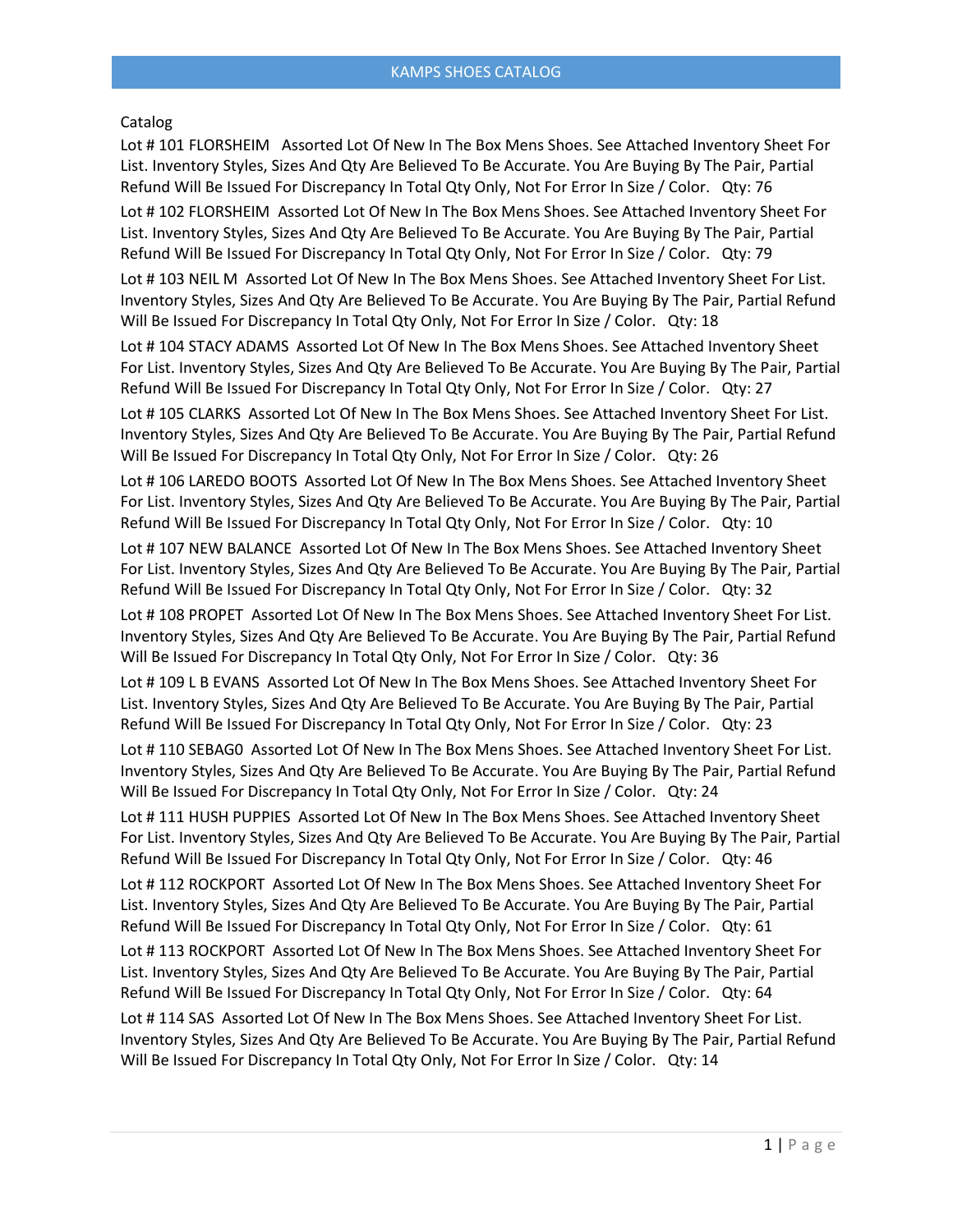## Catalog

Lot # 101 FLORSHEIM Assorted Lot Of New In The Box Mens Shoes. See Attached Inventory Sheet For List. Inventory Styles, Sizes And Qty Are Believed To Be Accurate. You Are Buying By The Pair, Partial Refund Will Be Issued For Discrepancy In Total Qty Only, Not For Error In Size / Color. Qty: 76

Lot # 102 FLORSHEIM Assorted Lot Of New In The Box Mens Shoes. See Attached Inventory Sheet For List. Inventory Styles, Sizes And Qty Are Believed To Be Accurate. You Are Buying By The Pair, Partial Refund Will Be Issued For Discrepancy In Total Qty Only, Not For Error In Size / Color. Qty: 79

Lot # 103 NEIL M Assorted Lot Of New In The Box Mens Shoes. See Attached Inventory Sheet For List. Inventory Styles, Sizes And Qty Are Believed To Be Accurate. You Are Buying By The Pair, Partial Refund Will Be Issued For Discrepancy In Total Qty Only, Not For Error In Size / Color. Qty: 18

Lot # 104 STACY ADAMS Assorted Lot Of New In The Box Mens Shoes. See Attached Inventory Sheet For List. Inventory Styles, Sizes And Qty Are Believed To Be Accurate. You Are Buying By The Pair, Partial Refund Will Be Issued For Discrepancy In Total Qty Only, Not For Error In Size / Color. Qty: 27

Lot # 105 CLARKS Assorted Lot Of New In The Box Mens Shoes. See Attached Inventory Sheet For List. Inventory Styles, Sizes And Qty Are Believed To Be Accurate. You Are Buying By The Pair, Partial Refund Will Be Issued For Discrepancy In Total Qty Only, Not For Error In Size / Color. Qty: 26

Lot # 106 LAREDO BOOTS Assorted Lot Of New In The Box Mens Shoes. See Attached Inventory Sheet For List. Inventory Styles, Sizes And Qty Are Believed To Be Accurate. You Are Buying By The Pair, Partial Refund Will Be Issued For Discrepancy In Total Qty Only, Not For Error In Size / Color. Qty: 10

Lot # 107 NEW BALANCE Assorted Lot Of New In The Box Mens Shoes. See Attached Inventory Sheet For List. Inventory Styles, Sizes And Qty Are Believed To Be Accurate. You Are Buying By The Pair, Partial Refund Will Be Issued For Discrepancy In Total Qty Only, Not For Error In Size / Color. Qty: 32

Lot # 108 PROPET Assorted Lot Of New In The Box Mens Shoes. See Attached Inventory Sheet For List. Inventory Styles, Sizes And Qty Are Believed To Be Accurate. You Are Buying By The Pair, Partial Refund Will Be Issued For Discrepancy In Total Qty Only, Not For Error In Size / Color. Qty: 36

Lot # 109 L B EVANS Assorted Lot Of New In The Box Mens Shoes. See Attached Inventory Sheet For List. Inventory Styles, Sizes And Qty Are Believed To Be Accurate. You Are Buying By The Pair, Partial Refund Will Be Issued For Discrepancy In Total Qty Only, Not For Error In Size / Color. Qty: 23

Lot # 110 SEBAG0 Assorted Lot Of New In The Box Mens Shoes. See Attached Inventory Sheet For List. Inventory Styles, Sizes And Qty Are Believed To Be Accurate. You Are Buying By The Pair, Partial Refund Will Be Issued For Discrepancy In Total Qty Only, Not For Error In Size / Color. Qty: 24

Lot # 111 HUSH PUPPIES Assorted Lot Of New In The Box Mens Shoes. See Attached Inventory Sheet For List. Inventory Styles, Sizes And Qty Are Believed To Be Accurate. You Are Buying By The Pair, Partial Refund Will Be Issued For Discrepancy In Total Qty Only, Not For Error In Size / Color. Qty: 46

Lot # 112 ROCKPORT Assorted Lot Of New In The Box Mens Shoes. See Attached Inventory Sheet For List. Inventory Styles, Sizes And Qty Are Believed To Be Accurate. You Are Buying By The Pair, Partial Refund Will Be Issued For Discrepancy In Total Qty Only, Not For Error In Size / Color. Qty: 61

Lot # 113 ROCKPORT Assorted Lot Of New In The Box Mens Shoes. See Attached Inventory Sheet For List. Inventory Styles, Sizes And Qty Are Believed To Be Accurate. You Are Buying By The Pair, Partial Refund Will Be Issued For Discrepancy In Total Qty Only, Not For Error In Size / Color. Qty: 64

Lot # 114 SAS Assorted Lot Of New In The Box Mens Shoes. See Attached Inventory Sheet For List. Inventory Styles, Sizes And Qty Are Believed To Be Accurate. You Are Buying By The Pair, Partial Refund Will Be Issued For Discrepancy In Total Qty Only, Not For Error In Size / Color. Qty: 14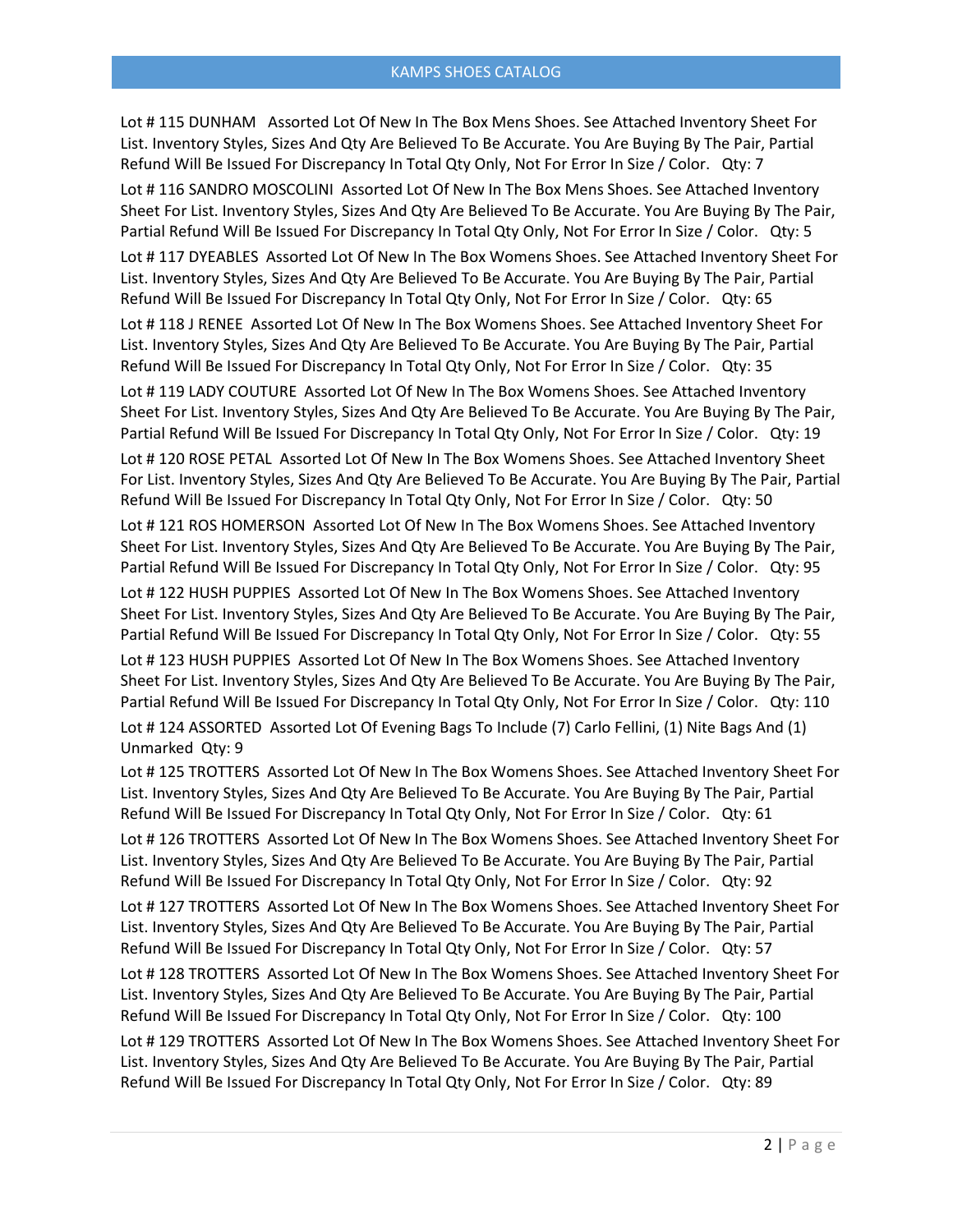Lot # 115 DUNHAM Assorted Lot Of New In The Box Mens Shoes. See Attached Inventory Sheet For List. Inventory Styles, Sizes And Qty Are Believed To Be Accurate. You Are Buying By The Pair, Partial Refund Will Be Issued For Discrepancy In Total Qty Only, Not For Error In Size / Color. Qty: 7

Lot # 116 SANDRO MOSCOLINI Assorted Lot Of New In The Box Mens Shoes. See Attached Inventory Sheet For List. Inventory Styles, Sizes And Qty Are Believed To Be Accurate. You Are Buying By The Pair, Partial Refund Will Be Issued For Discrepancy In Total Qty Only, Not For Error In Size / Color. Qty: 5

Lot # 117 DYEABLES Assorted Lot Of New In The Box Womens Shoes. See Attached Inventory Sheet For List. Inventory Styles, Sizes And Qty Are Believed To Be Accurate. You Are Buying By The Pair, Partial Refund Will Be Issued For Discrepancy In Total Qty Only, Not For Error In Size / Color. Qty: 65

Lot # 118 J RENEE Assorted Lot Of New In The Box Womens Shoes. See Attached Inventory Sheet For List. Inventory Styles, Sizes And Qty Are Believed To Be Accurate. You Are Buying By The Pair, Partial Refund Will Be Issued For Discrepancy In Total Qty Only, Not For Error In Size / Color. Qty: 35

Lot # 119 LADY COUTURE Assorted Lot Of New In The Box Womens Shoes. See Attached Inventory Sheet For List. Inventory Styles, Sizes And Qty Are Believed To Be Accurate. You Are Buying By The Pair, Partial Refund Will Be Issued For Discrepancy In Total Qty Only, Not For Error In Size / Color. Qty: 19

Lot # 120 ROSE PETAL Assorted Lot Of New In The Box Womens Shoes. See Attached Inventory Sheet For List. Inventory Styles, Sizes And Qty Are Believed To Be Accurate. You Are Buying By The Pair, Partial Refund Will Be Issued For Discrepancy In Total Qty Only, Not For Error In Size / Color. Qty: 50

Lot # 121 ROS HOMERSON Assorted Lot Of New In The Box Womens Shoes. See Attached Inventory Sheet For List. Inventory Styles, Sizes And Qty Are Believed To Be Accurate. You Are Buying By The Pair, Partial Refund Will Be Issued For Discrepancy In Total Qty Only, Not For Error In Size / Color. Qty: 95

Lot # 122 HUSH PUPPIES Assorted Lot Of New In The Box Womens Shoes. See Attached Inventory Sheet For List. Inventory Styles, Sizes And Qty Are Believed To Be Accurate. You Are Buying By The Pair, Partial Refund Will Be Issued For Discrepancy In Total Qty Only, Not For Error In Size / Color. Qty: 55

Lot # 123 HUSH PUPPIES Assorted Lot Of New In The Box Womens Shoes. See Attached Inventory Sheet For List. Inventory Styles, Sizes And Qty Are Believed To Be Accurate. You Are Buying By The Pair, Partial Refund Will Be Issued For Discrepancy In Total Qty Only, Not For Error In Size / Color. Qty: 110

Lot # 124 ASSORTED Assorted Lot Of Evening Bags To Include (7) Carlo Fellini, (1) Nite Bags And (1) Unmarked Qty: 9

Lot # 125 TROTTERS Assorted Lot Of New In The Box Womens Shoes. See Attached Inventory Sheet For List. Inventory Styles, Sizes And Qty Are Believed To Be Accurate. You Are Buying By The Pair, Partial Refund Will Be Issued For Discrepancy In Total Qty Only, Not For Error In Size / Color. Qty: 61

Lot # 126 TROTTERS Assorted Lot Of New In The Box Womens Shoes. See Attached Inventory Sheet For List. Inventory Styles, Sizes And Qty Are Believed To Be Accurate. You Are Buying By The Pair, Partial Refund Will Be Issued For Discrepancy In Total Qty Only, Not For Error In Size / Color. Qty: 92

Lot # 127 TROTTERS Assorted Lot Of New In The Box Womens Shoes. See Attached Inventory Sheet For List. Inventory Styles, Sizes And Qty Are Believed To Be Accurate. You Are Buying By The Pair, Partial Refund Will Be Issued For Discrepancy In Total Qty Only, Not For Error In Size / Color. Qty: 57

Lot # 128 TROTTERS Assorted Lot Of New In The Box Womens Shoes. See Attached Inventory Sheet For List. Inventory Styles, Sizes And Qty Are Believed To Be Accurate. You Are Buying By The Pair, Partial Refund Will Be Issued For Discrepancy In Total Qty Only, Not For Error In Size / Color. Qty: 100

Lot # 129 TROTTERS Assorted Lot Of New In The Box Womens Shoes. See Attached Inventory Sheet For List. Inventory Styles, Sizes And Qty Are Believed To Be Accurate. You Are Buying By The Pair, Partial Refund Will Be Issued For Discrepancy In Total Qty Only, Not For Error In Size / Color. Qty: 89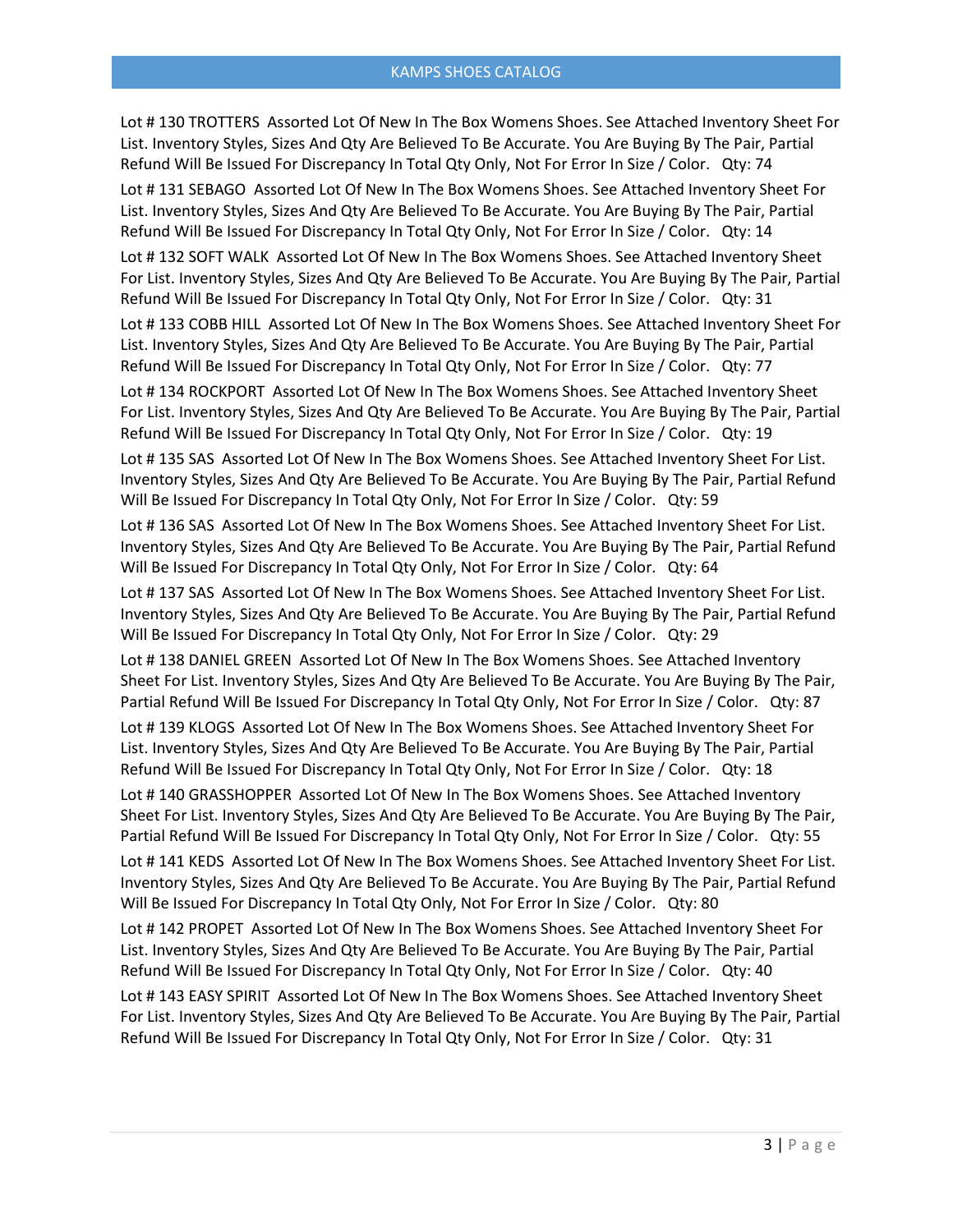Lot # 130 TROTTERS Assorted Lot Of New In The Box Womens Shoes. See Attached Inventory Sheet For List. Inventory Styles, Sizes And Qty Are Believed To Be Accurate. You Are Buying By The Pair, Partial Refund Will Be Issued For Discrepancy In Total Qty Only, Not For Error In Size / Color. Qty: 74

Lot # 131 SEBAGO Assorted Lot Of New In The Box Womens Shoes. See Attached Inventory Sheet For List. Inventory Styles, Sizes And Qty Are Believed To Be Accurate. You Are Buying By The Pair, Partial Refund Will Be Issued For Discrepancy In Total Qty Only, Not For Error In Size / Color. Qty: 14

Lot # 132 SOFT WALK Assorted Lot Of New In The Box Womens Shoes. See Attached Inventory Sheet For List. Inventory Styles, Sizes And Qty Are Believed To Be Accurate. You Are Buying By The Pair, Partial Refund Will Be Issued For Discrepancy In Total Qty Only, Not For Error In Size / Color. Qty: 31

Lot # 133 COBB HILL Assorted Lot Of New In The Box Womens Shoes. See Attached Inventory Sheet For List. Inventory Styles, Sizes And Qty Are Believed To Be Accurate. You Are Buying By The Pair, Partial Refund Will Be Issued For Discrepancy In Total Qty Only, Not For Error In Size / Color. Qty: 77

Lot # 134 ROCKPORT Assorted Lot Of New In The Box Womens Shoes. See Attached Inventory Sheet For List. Inventory Styles, Sizes And Qty Are Believed To Be Accurate. You Are Buying By The Pair, Partial Refund Will Be Issued For Discrepancy In Total Qty Only, Not For Error In Size / Color. Qty: 19

Lot # 135 SAS Assorted Lot Of New In The Box Womens Shoes. See Attached Inventory Sheet For List. Inventory Styles, Sizes And Qty Are Believed To Be Accurate. You Are Buying By The Pair, Partial Refund Will Be Issued For Discrepancy In Total Qty Only, Not For Error In Size / Color. Qty: 59

Lot # 136 SAS Assorted Lot Of New In The Box Womens Shoes. See Attached Inventory Sheet For List. Inventory Styles, Sizes And Qty Are Believed To Be Accurate. You Are Buying By The Pair, Partial Refund Will Be Issued For Discrepancy In Total Qty Only, Not For Error In Size / Color. Qty: 64

Lot # 137 SAS Assorted Lot Of New In The Box Womens Shoes. See Attached Inventory Sheet For List. Inventory Styles, Sizes And Qty Are Believed To Be Accurate. You Are Buying By The Pair, Partial Refund Will Be Issued For Discrepancy In Total Qty Only, Not For Error In Size / Color. Qty: 29

Lot # 138 DANIEL GREEN Assorted Lot Of New In The Box Womens Shoes. See Attached Inventory Sheet For List. Inventory Styles, Sizes And Qty Are Believed To Be Accurate. You Are Buying By The Pair, Partial Refund Will Be Issued For Discrepancy In Total Qty Only, Not For Error In Size / Color. Qty: 87

Lot # 139 KLOGS Assorted Lot Of New In The Box Womens Shoes. See Attached Inventory Sheet For List. Inventory Styles, Sizes And Qty Are Believed To Be Accurate. You Are Buying By The Pair, Partial Refund Will Be Issued For Discrepancy In Total Qty Only, Not For Error In Size / Color. Qty: 18

Lot # 140 GRASSHOPPER Assorted Lot Of New In The Box Womens Shoes. See Attached Inventory Sheet For List. Inventory Styles, Sizes And Qty Are Believed To Be Accurate. You Are Buying By The Pair, Partial Refund Will Be Issued For Discrepancy In Total Qty Only, Not For Error In Size / Color. Qty: 55

Lot # 141 KEDS Assorted Lot Of New In The Box Womens Shoes. See Attached Inventory Sheet For List. Inventory Styles, Sizes And Qty Are Believed To Be Accurate. You Are Buying By The Pair, Partial Refund Will Be Issued For Discrepancy In Total Qty Only, Not For Error In Size / Color. Qty: 80

Lot # 142 PROPET Assorted Lot Of New In The Box Womens Shoes. See Attached Inventory Sheet For List. Inventory Styles, Sizes And Qty Are Believed To Be Accurate. You Are Buying By The Pair, Partial Refund Will Be Issued For Discrepancy In Total Qty Only, Not For Error In Size / Color. Qty: 40

Lot # 143 EASY SPIRIT Assorted Lot Of New In The Box Womens Shoes. See Attached Inventory Sheet For List. Inventory Styles, Sizes And Qty Are Believed To Be Accurate. You Are Buying By The Pair, Partial Refund Will Be Issued For Discrepancy In Total Qty Only, Not For Error In Size / Color. Qty: 31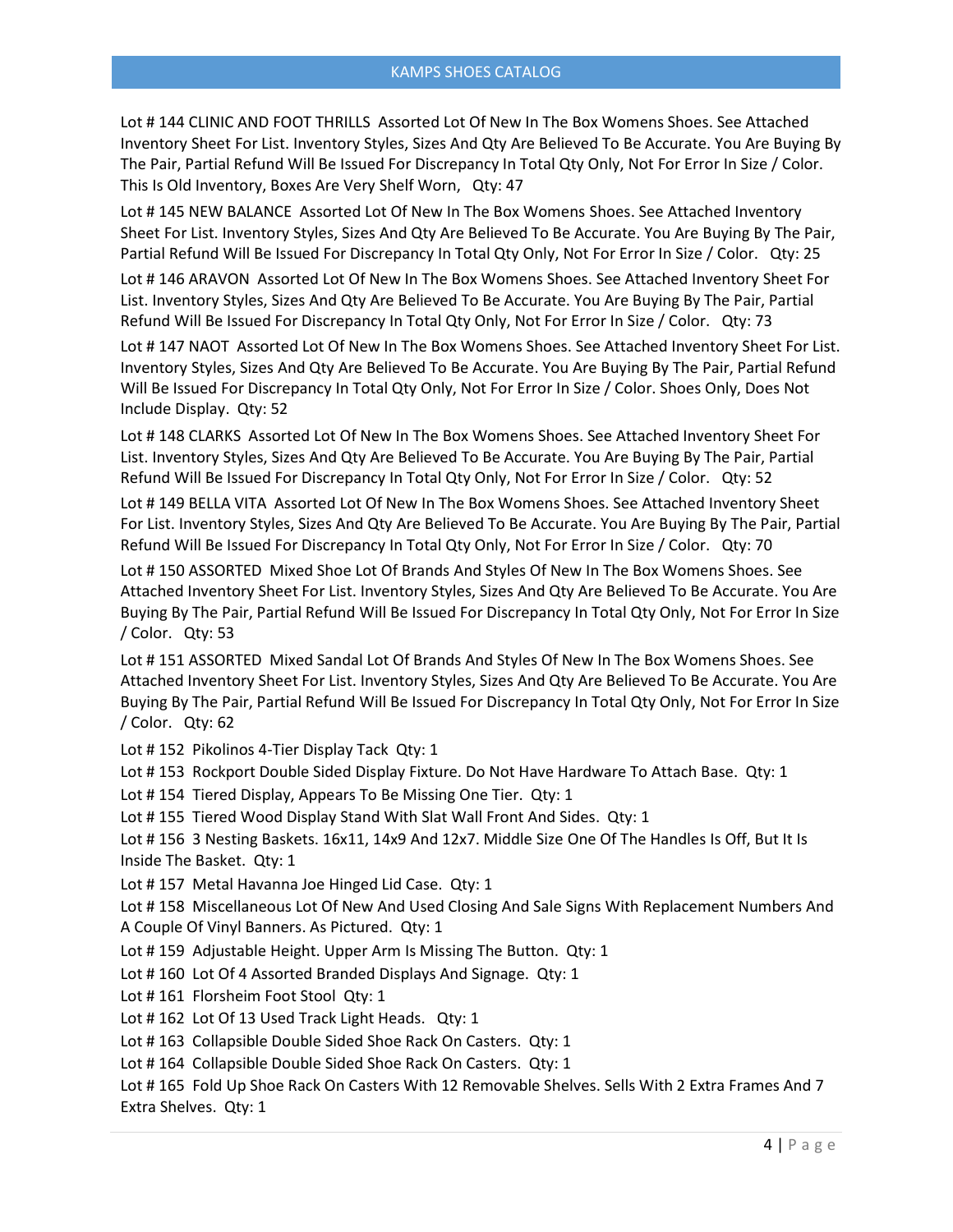Lot # 144 CLINIC AND FOOT THRILLS Assorted Lot Of New In The Box Womens Shoes. See Attached Inventory Sheet For List. Inventory Styles, Sizes And Qty Are Believed To Be Accurate. You Are Buying By The Pair, Partial Refund Will Be Issued For Discrepancy In Total Qty Only, Not For Error In Size / Color. This Is Old Inventory, Boxes Are Very Shelf Worn, Qty: 47

Lot # 145 NEW BALANCE Assorted Lot Of New In The Box Womens Shoes. See Attached Inventory Sheet For List. Inventory Styles, Sizes And Qty Are Believed To Be Accurate. You Are Buying By The Pair, Partial Refund Will Be Issued For Discrepancy In Total Qty Only, Not For Error In Size / Color. Qty: 25

Lot # 146 ARAVON Assorted Lot Of New In The Box Womens Shoes. See Attached Inventory Sheet For List. Inventory Styles, Sizes And Qty Are Believed To Be Accurate. You Are Buying By The Pair, Partial Refund Will Be Issued For Discrepancy In Total Qty Only, Not For Error In Size / Color. Qty: 73

Lot # 147 NAOT Assorted Lot Of New In The Box Womens Shoes. See Attached Inventory Sheet For List. Inventory Styles, Sizes And Qty Are Believed To Be Accurate. You Are Buying By The Pair, Partial Refund Will Be Issued For Discrepancy In Total Qty Only, Not For Error In Size / Color. Shoes Only, Does Not Include Display. Qty: 52

Lot # 148 CLARKS Assorted Lot Of New In The Box Womens Shoes. See Attached Inventory Sheet For List. Inventory Styles, Sizes And Qty Are Believed To Be Accurate. You Are Buying By The Pair, Partial Refund Will Be Issued For Discrepancy In Total Qty Only, Not For Error In Size / Color. Qty: 52

Lot # 149 BELLA VITA Assorted Lot Of New In The Box Womens Shoes. See Attached Inventory Sheet For List. Inventory Styles, Sizes And Qty Are Believed To Be Accurate. You Are Buying By The Pair, Partial Refund Will Be Issued For Discrepancy In Total Qty Only, Not For Error In Size / Color. Qty: 70

Lot # 150 ASSORTED Mixed Shoe Lot Of Brands And Styles Of New In The Box Womens Shoes. See Attached Inventory Sheet For List. Inventory Styles, Sizes And Qty Are Believed To Be Accurate. You Are Buying By The Pair, Partial Refund Will Be Issued For Discrepancy In Total Qty Only, Not For Error In Size / Color. Qty: 53

Lot # 151 ASSORTED Mixed Sandal Lot Of Brands And Styles Of New In The Box Womens Shoes. See Attached Inventory Sheet For List. Inventory Styles, Sizes And Qty Are Believed To Be Accurate. You Are Buying By The Pair, Partial Refund Will Be Issued For Discrepancy In Total Qty Only, Not For Error In Size / Color. Qty: 62

Lot # 152 Pikolinos 4-Tier Display Tack Qty: 1

Lot # 153 Rockport Double Sided Display Fixture. Do Not Have Hardware To Attach Base. Qty: 1

Lot # 154 Tiered Display, Appears To Be Missing One Tier. Qty: 1

Lot # 155 Tiered Wood Display Stand With Slat Wall Front And Sides. Qty: 1

Lot # 156 3 Nesting Baskets. 16x11, 14x9 And 12x7. Middle Size One Of The Handles Is Off, But It Is Inside The Basket. Qty: 1

Lot # 157 Metal Havanna Joe Hinged Lid Case. Qty: 1

Lot # 158 Miscellaneous Lot Of New And Used Closing And Sale Signs With Replacement Numbers And A Couple Of Vinyl Banners. As Pictured. Qty: 1

Lot #159 Adjustable Height. Upper Arm Is Missing The Button. Qty: 1

Lot # 160 Lot Of 4 Assorted Branded Displays And Signage. Qty: 1

Lot #161 Florsheim Foot Stool Qty: 1

Lot #162 Lot Of 13 Used Track Light Heads. Qty: 1

Lot # 163 Collapsible Double Sided Shoe Rack On Casters. Qty: 1

Lot # 164 Collapsible Double Sided Shoe Rack On Casters. Qty: 1

Lot #165 Fold Up Shoe Rack On Casters With 12 Removable Shelves. Sells With 2 Extra Frames And 7 Extra Shelves. Qty: 1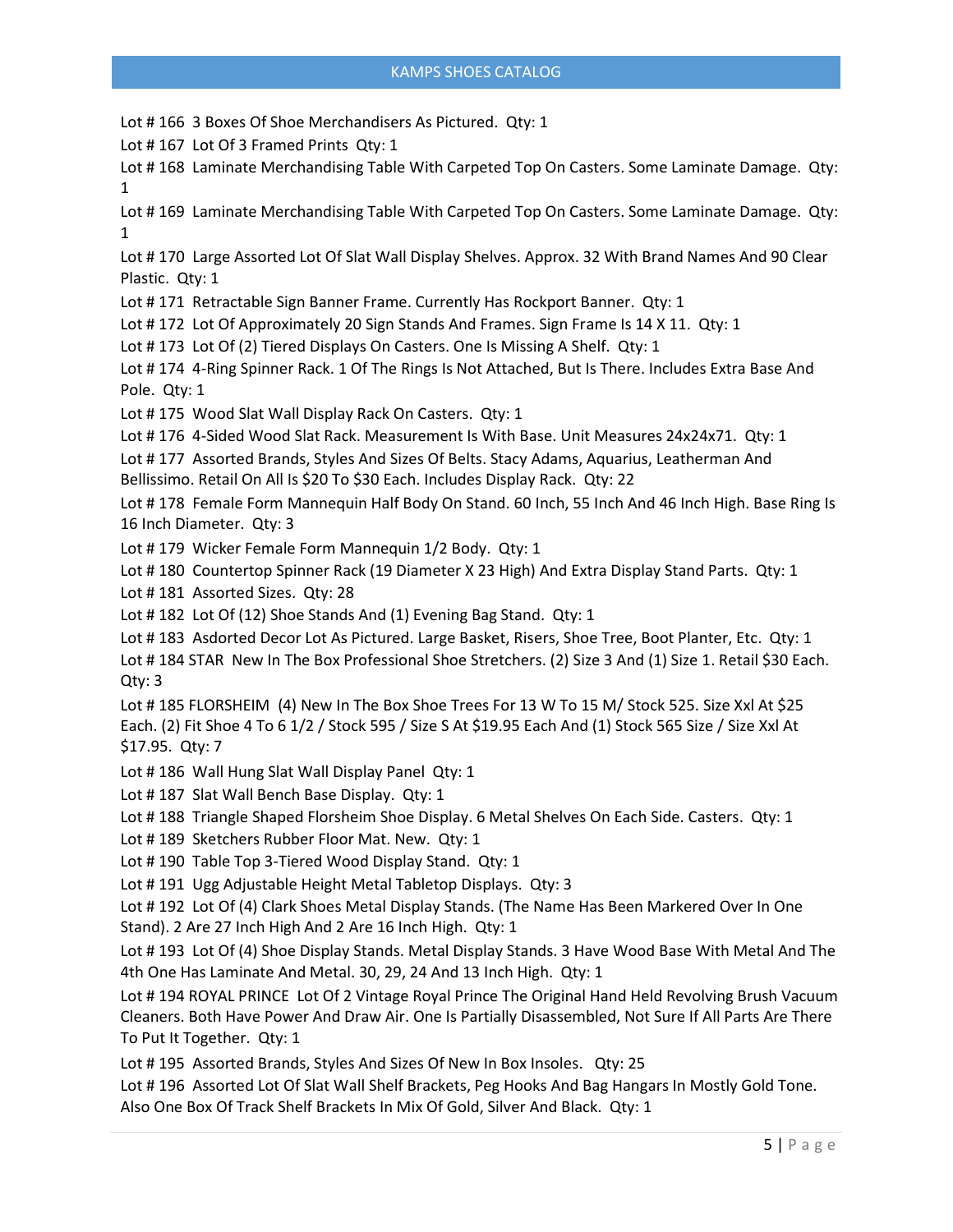Lot # 166 3 Boxes Of Shoe Merchandisers As Pictured. Qty: 1

Lot #167 Lot Of 3 Framed Prints Qty: 1

Lot # 168 Laminate Merchandising Table With Carpeted Top On Casters. Some Laminate Damage. Qty: 1

Lot # 169 Laminate Merchandising Table With Carpeted Top On Casters. Some Laminate Damage. Qty: 1

Lot # 170 Large Assorted Lot Of Slat Wall Display Shelves. Approx. 32 With Brand Names And 90 Clear Plastic. Qty: 1

Lot # 171 Retractable Sign Banner Frame. Currently Has Rockport Banner. Qty: 1

Lot # 172 Lot Of Approximately 20 Sign Stands And Frames. Sign Frame Is 14 X 11. Qty: 1

Lot # 173 Lot Of (2) Tiered Displays On Casters. One Is Missing A Shelf. Qty: 1

Lot # 174 4-Ring Spinner Rack. 1 Of The Rings Is Not Attached, But Is There. Includes Extra Base And Pole. Qty: 1

Lot # 175 Wood Slat Wall Display Rack On Casters. Qty: 1

Lot # 176 4-Sided Wood Slat Rack. Measurement Is With Base. Unit Measures 24x24x71. Qty: 1

Lot # 177 Assorted Brands, Styles And Sizes Of Belts. Stacy Adams, Aquarius, Leatherman And Bellissimo. Retail On All Is \$20 To \$30 Each. Includes Display Rack. Qty: 22

Lot # 178 Female Form Mannequin Half Body On Stand. 60 Inch, 55 Inch And 46 Inch High. Base Ring Is 16 Inch Diameter. Qty: 3

Lot # 179 Wicker Female Form Mannequin 1/2 Body. Qty: 1

Lot # 180 Countertop Spinner Rack (19 Diameter X 23 High) And Extra Display Stand Parts. Qty: 1

Lot # 181 Assorted Sizes. Qty: 28

Lot #182 Lot Of (12) Shoe Stands And (1) Evening Bag Stand. Qty: 1

Lot # 183 Asdorted Decor Lot As Pictured. Large Basket, Risers, Shoe Tree, Boot Planter, Etc. Qty: 1

Lot # 184 STAR New In The Box Professional Shoe Stretchers. (2) Size 3 And (1) Size 1. Retail \$30 Each. Qty: 3

Lot # 185 FLORSHEIM (4) New In The Box Shoe Trees For 13 W To 15 M/ Stock 525. Size Xxl At \$25 Each. (2) Fit Shoe 4 To 6 1/2 / Stock 595 / Size S At \$19.95 Each And (1) Stock 565 Size / Size Xxl At \$17.95. Qty: 7

Lot #186 Wall Hung Slat Wall Display Panel Qty: 1

Lot #187 Slat Wall Bench Base Display. Qty: 1

Lot # 188 Triangle Shaped Florsheim Shoe Display. 6 Metal Shelves On Each Side. Casters. Qty: 1

Lot # 189 Sketchers Rubber Floor Mat. New. Qty: 1

Lot # 190 Table Top 3-Tiered Wood Display Stand. Qty: 1

Lot # 191 Ugg Adjustable Height Metal Tabletop Displays. Qty: 3

Lot # 192 Lot Of (4) Clark Shoes Metal Display Stands. (The Name Has Been Markered Over In One Stand). 2 Are 27 Inch High And 2 Are 16 Inch High. Qty: 1

Lot # 193 Lot Of (4) Shoe Display Stands. Metal Display Stands. 3 Have Wood Base With Metal And The 4th One Has Laminate And Metal. 30, 29, 24 And 13 Inch High. Qty: 1

Lot # 194 ROYAL PRINCE Lot Of 2 Vintage Royal Prince The Original Hand Held Revolving Brush Vacuum Cleaners. Both Have Power And Draw Air. One Is Partially Disassembled, Not Sure If All Parts Are There To Put It Together. Qty: 1

Lot # 195 Assorted Brands, Styles And Sizes Of New In Box Insoles. Qty: 25

Lot # 196 Assorted Lot Of Slat Wall Shelf Brackets, Peg Hooks And Bag Hangars In Mostly Gold Tone. Also One Box Of Track Shelf Brackets In Mix Of Gold, Silver And Black. Qty: 1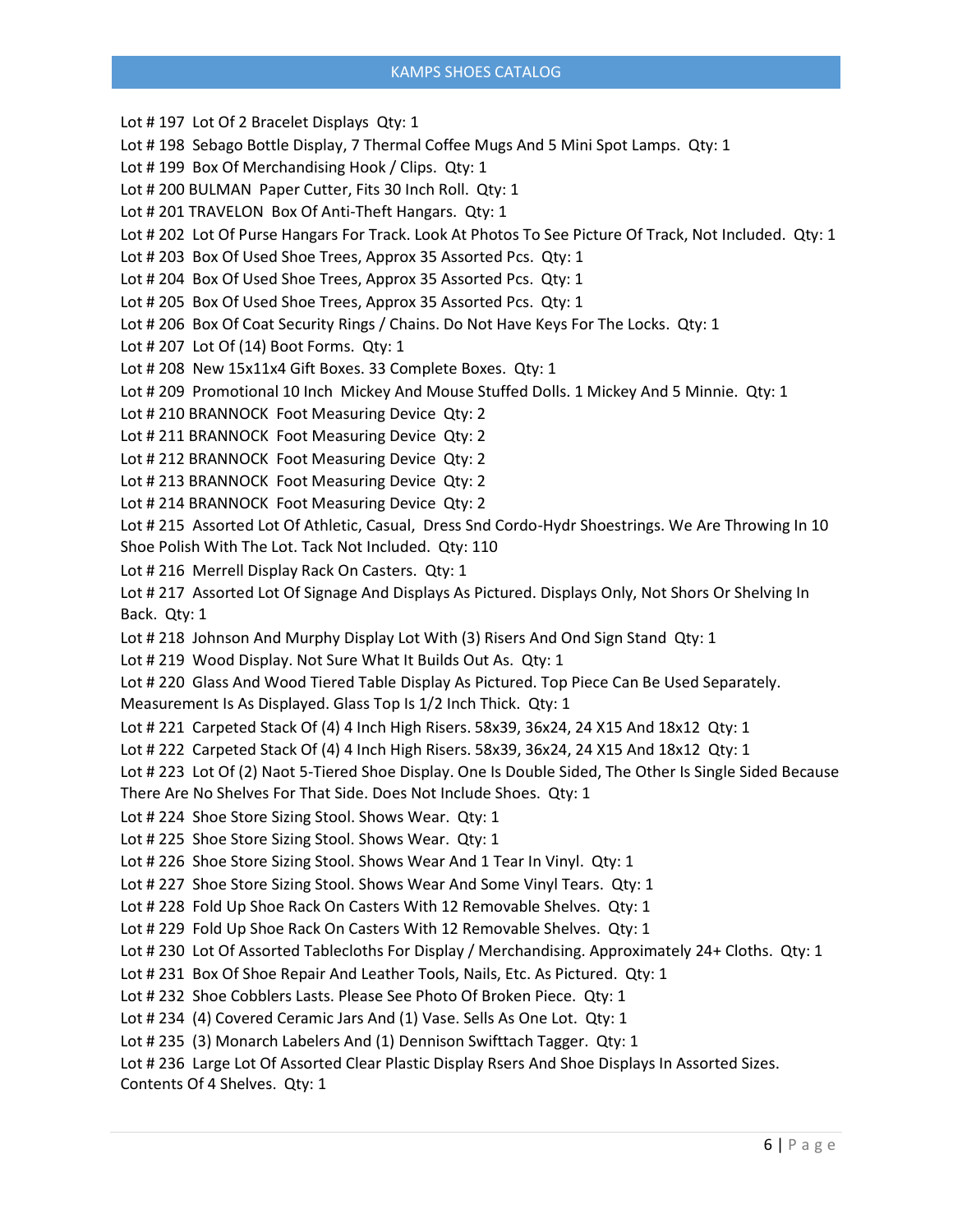## KAMPS SHOES CATALOG

Lot #197 Lot Of 2 Bracelet Displays Qty: 1 Lot # 198 Sebago Bottle Display, 7 Thermal Coffee Mugs And 5 Mini Spot Lamps. Qty: 1 Lot #199 Box Of Merchandising Hook / Clips. Qty: 1 Lot # 200 BULMAN Paper Cutter, Fits 30 Inch Roll. Qty: 1 Lot # 201 TRAVELON Box Of Anti-Theft Hangars. Qty: 1 Lot # 202 Lot Of Purse Hangars For Track. Look At Photos To See Picture Of Track, Not Included. Qty: 1 Lot # 203 Box Of Used Shoe Trees, Approx 35 Assorted Pcs. Qty: 1 Lot # 204 Box Of Used Shoe Trees, Approx 35 Assorted Pcs. Qty: 1 Lot # 205 Box Of Used Shoe Trees, Approx 35 Assorted Pcs. Qty: 1 Lot # 206 Box Of Coat Security Rings / Chains. Do Not Have Keys For The Locks. Qty: 1 Lot # 207 Lot Of (14) Boot Forms. Qty: 1 Lot # 208 New 15x11x4 Gift Boxes. 33 Complete Boxes. Qty: 1 Lot # 209 Promotional 10 Inch Mickey And Mouse Stuffed Dolls. 1 Mickey And 5 Minnie. Qty: 1 Lot # 210 BRANNOCK Foot Measuring Device Qty: 2 Lot # 211 BRANNOCK Foot Measuring Device Qty: 2 Lot # 212 BRANNOCK Foot Measuring Device Qty: 2 Lot # 213 BRANNOCK Foot Measuring Device Qty: 2 Lot # 214 BRANNOCK Foot Measuring Device Qty: 2 Lot # 215 Assorted Lot Of Athletic, Casual, Dress Snd Cordo-Hydr Shoestrings. We Are Throwing In 10 Shoe Polish With The Lot. Tack Not Included. Qty: 110 Lot # 216 Merrell Display Rack On Casters. Qty: 1 Lot # 217 Assorted Lot Of Signage And Displays As Pictured. Displays Only, Not Shors Or Shelving In Back. Qty: 1 Lot # 218 Johnson And Murphy Display Lot With (3) Risers And Ond Sign Stand Qty: 1 Lot # 219 Wood Display. Not Sure What It Builds Out As. Qty: 1 Lot # 220 Glass And Wood Tiered Table Display As Pictured. Top Piece Can Be Used Separately. Measurement Is As Displayed. Glass Top Is 1/2 Inch Thick. Qty: 1 Lot # 221 Carpeted Stack Of (4) 4 Inch High Risers. 58x39, 36x24, 24 X15 And 18x12 Qty: 1 Lot # 222 Carpeted Stack Of (4) 4 Inch High Risers. 58x39, 36x24, 24 X15 And 18x12 Qty: 1 Lot # 223 Lot Of (2) Naot 5-Tiered Shoe Display. One Is Double Sided, The Other Is Single Sided Because There Are No Shelves For That Side. Does Not Include Shoes. Qty: 1 Lot # 224 Shoe Store Sizing Stool. Shows Wear. Qty: 1 Lot # 225 Shoe Store Sizing Stool. Shows Wear. Qty: 1 Lot # 226 Shoe Store Sizing Stool. Shows Wear And 1 Tear In Vinyl. Qty: 1 Lot # 227 Shoe Store Sizing Stool. Shows Wear And Some Vinyl Tears. Qty: 1 Lot # 228 Fold Up Shoe Rack On Casters With 12 Removable Shelves. Qty: 1 Lot # 229 Fold Up Shoe Rack On Casters With 12 Removable Shelves. Qty: 1 Lot # 230 Lot Of Assorted Tablecloths For Display / Merchandising. Approximately 24+ Cloths. Qty: 1 Lot # 231 Box Of Shoe Repair And Leather Tools, Nails, Etc. As Pictured. Qty: 1 Lot # 232 Shoe Cobblers Lasts. Please See Photo Of Broken Piece. Qty: 1 Lot # 234 (4) Covered Ceramic Jars And (1) Vase. Sells As One Lot. Qty: 1 Lot # 235 (3) Monarch Labelers And (1) Dennison Swifttach Tagger. Qty: 1 Lot # 236 Large Lot Of Assorted Clear Plastic Display Rsers And Shoe Displays In Assorted Sizes. Contents Of 4 Shelves. Qty: 1